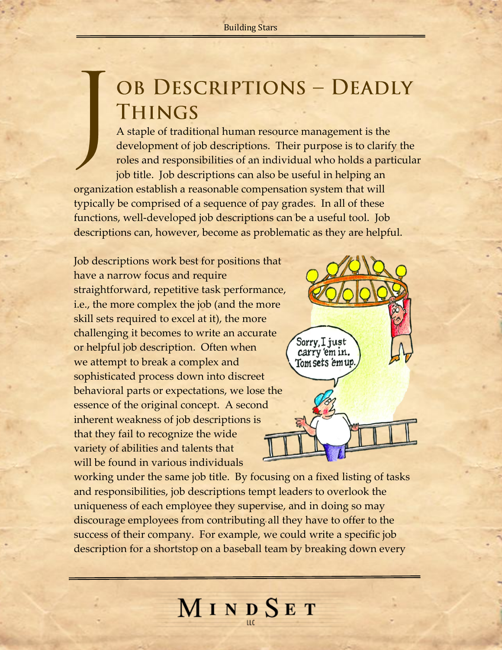## OB DESCRIPTIONS - DEADLY **THINGS**

A staple of traditional human resource management is the development of job descriptions. Their purpose is to clarify the roles and responsibilities of an individual who holds a particular job title. Job descriptions can also be useful in helping an organization establish a reasonable compensation system that will typically be comprised of a sequence of pay grades. In all of these functions, well-developed job descriptions can be a useful tool. Job descriptions can, however, become as problematic as they are helpful.

Job descriptions work best for positions that have a narrow focus and require straightforward, repetitive task performance, i.e., the more complex the job (and the more skill sets required to excel at it), the more challenging it becomes to write an accurate or helpful job description. Often when we attempt to break a complex and sophisticated process down into discreet behavioral parts or expectations, we lose the essence of the original concept. A second inherent weakness of job descriptions is that they fail to recognize the wide variety of abilities and talents that will be found in various individuals



working under the same job title. By focusing on a fixed listing of tasks and responsibilities, job descriptions tempt leaders to overlook the uniqueness of each employee they supervise, and in doing so may discourage employees from contributing all they have to offer to the success of their company. For example, we could write a specific job description for a shortstop on a baseball team by breaking down every

MINDSET